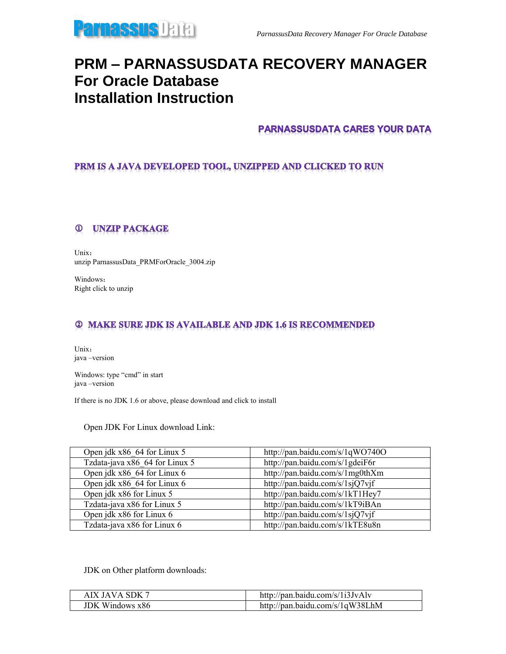

# **PRM – PARNASSUSDATA RECOVERY MANAGER For Oracle Database Installation Instruction**

## **PARNASSUSDATA CARES YOUR DATA**

### PRM IS A JAVA DEVELOPED TOOL, UNZIPPED AND CLICKED TO RUN

#### **UNZIP PACKAGE**  $\bf \Phi$

Unix: unzip ParnassusData\_PRMForOracle\_3004.zip

Windows: Right click to unzip

### **2 MAKE SURE JDK IS AVAILABLE AND JDK 1.6 IS RECOMMENDED**

Unix: java –version

Windows: type "cmd" in start java –version

If there is no JDK 1.6 or above, please download and click to install

Open JDK For Linux download Link:

| Open jdk x86 64 for Linux 5    | http://pan.baidu.com/s/1qWO740O |
|--------------------------------|---------------------------------|
| Tzdata-java x86 64 for Linux 5 | http://pan.baidu.com/s/1gdeiF6r |
| Open jdk x86 64 for Linux 6    | http://pan.baidu.com/s/1mg0thXm |
| Open jdk x86 64 for Linux 6    | http://pan.baidu.com/s/1sjQ7vjf |
| Open jdk x86 for Linux 5       | http://pan.baidu.com/s/1kT1Hey7 |
| Tzdata-java x86 for Linux 5    | http://pan.baidu.com/s/1kT9iBAn |
| Open jdk x86 for Linux 6       | http://pan.baidu.com/s/1sjQ7vjf |
| Tzdata-java x86 for Linux 6    | http://pan.baidu.com/s/1kTE8u8n |

JDK on Other platform downloads:

| AIX JAVA SDK 7         | http://pan.baidu.com/s/1i3JvAlv |
|------------------------|---------------------------------|
| <b>JDK</b> Windows x86 | http://pan.baidu.com/s/1qW38LhM |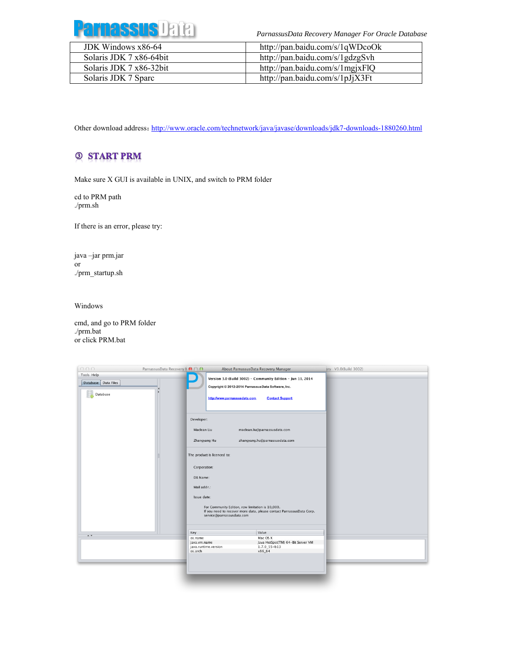

*ParnassusData Recovery Manager For Oracle Database*

| JDK Windows x86-64      | http://pan.baidu.com/s/1qWDcoOk |
|-------------------------|---------------------------------|
| Solaris JDK 7 x86-64bit | http://pan.baidu.com/s/1gdzgSvh |
| Solaris JDK 7 x86-32bit | http://pan.baidu.com/s/1mgjxFlQ |
| Solaris JDK 7 Sparc     | http://pan.baidu.com/s/1pJjX3Ft |

Other download address: <http://www.oracle.com/technetwork/java/javase/downloads/jdk7-downloads-1880260.html>

# **3 START PRM**

Make sure X GUI is available in UNIX, and switch to PRM folder

cd to PRM path ./prm.sh

If there is an error, please try:

java –jar prm.jar or ./prm\_startup.sh

Windows

cmd, and go to PRM folder ./prm.bat or click PRM.bat

| 000                 | ParnassusData Recovery M ● ○ ● |              | About ParnassusData Recovery Manager                                                                                     |                                                         | Bry V3.0(Build 3002) |
|---------------------|--------------------------------|--------------|--------------------------------------------------------------------------------------------------------------------------|---------------------------------------------------------|----------------------|
| Tools Help          |                                |              | Version 3.0 (Build 3002) - Community Edition - Jun 11, 2014                                                              |                                                         |                      |
| Database Data Files |                                |              | Copyright © 2012-2014 ParnassusData Software, Inc.                                                                       |                                                         |                      |
| Database            |                                |              |                                                                                                                          |                                                         |                      |
|                     |                                |              | http://www.parnassusdata.com                                                                                             | <b>Contact Support</b>                                  |                      |
|                     |                                |              |                                                                                                                          |                                                         |                      |
|                     |                                |              |                                                                                                                          |                                                         |                      |
|                     |                                | Developer:   |                                                                                                                          |                                                         |                      |
|                     |                                | Maclean Liu  |                                                                                                                          | maclean.liu@parnassusdata.com                           |                      |
|                     |                                | Zhangyang Hu |                                                                                                                          | zhangyang.hu@parnassusdata.com                          |                      |
|                     |                                |              |                                                                                                                          |                                                         |                      |
|                     |                                |              | The product is licenced to:                                                                                              |                                                         |                      |
|                     |                                |              |                                                                                                                          |                                                         |                      |
|                     |                                | Corporation: |                                                                                                                          |                                                         |                      |
|                     |                                | DB Name:     |                                                                                                                          |                                                         |                      |
|                     |                                | Mail addr.:  |                                                                                                                          |                                                         |                      |
|                     |                                |              |                                                                                                                          |                                                         |                      |
|                     |                                | Issue date:  |                                                                                                                          |                                                         |                      |
|                     |                                |              | For Community Edition, row limitation is 10,000.<br>If you need to recover more data, please contact ParnassusData Corp. |                                                         |                      |
|                     |                                |              | service@parnassusdata.com                                                                                                |                                                         |                      |
|                     |                                |              |                                                                                                                          |                                                         |                      |
|                     |                                | Key          |                                                                                                                          | Value                                                   |                      |
| $\overline{a}$      |                                | os.name      |                                                                                                                          | Mac OS X                                                |                      |
|                     |                                | java.vm.name |                                                                                                                          | Java HotSpot(TM) 64-Bit Server VM<br>$1.7.0 - 55 - b13$ |                      |
|                     |                                | os.arch      | java.runtime.version                                                                                                     | x86_64                                                  |                      |
|                     |                                |              |                                                                                                                          |                                                         |                      |
|                     |                                |              |                                                                                                                          |                                                         |                      |
|                     |                                |              |                                                                                                                          |                                                         |                      |
|                     |                                |              |                                                                                                                          |                                                         |                      |